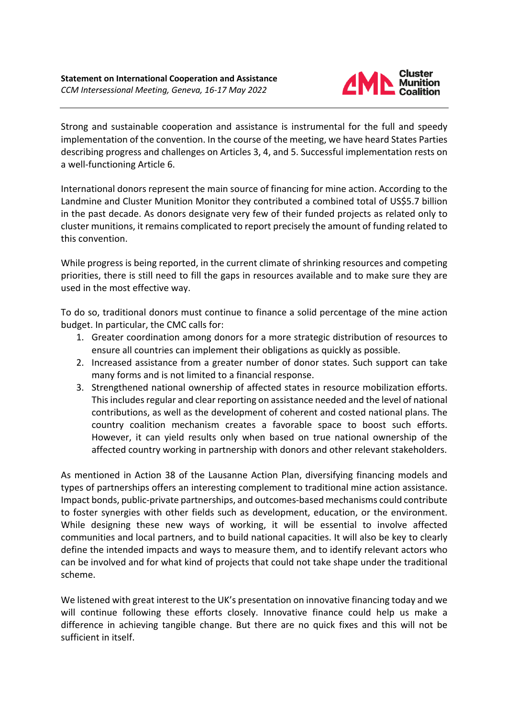

Strong and sustainable cooperation and assistance is instrumental for the full and speedy implementation of the convention. In the course of the meeting, we have heard States Parties describing progress and challenges on Articles 3, 4, and 5. Successful implementation rests on a well-functioning Article 6.

International donors represent the main source of financing for mine action. According to the Landmine and Cluster Munition Monitor they contributed a combined total of US\$5.7 billion in the past decade. As donors designate very few of their funded projects as related only to cluster munitions, it remains complicated to report precisely the amount of funding related to this convention.

While progress is being reported, in the current climate of shrinking resources and competing priorities, there is still need to fill the gaps in resources available and to make sure they are used in the most effective way.

To do so, traditional donors must continue to finance a solid percentage of the mine action budget. In particular, the CMC calls for:

- 1. Greater coordination among donors for a more strategic distribution of resources to ensure all countries can implement their obligations as quickly as possible.
- 2. Increased assistance from a greater number of donor states. Such support can take many forms and is not limited to a financial response.
- 3. Strengthened national ownership of affected states in resource mobilization efforts. This includes regular and clear reporting on assistance needed and the level of national contributions, as well as the development of coherent and costed national plans. The country coalition mechanism creates a favorable space to boost such efforts. However, it can yield results only when based on true national ownership of the affected country working in partnership with donors and other relevant stakeholders.

As mentioned in Action 38 of the Lausanne Action Plan, diversifying financing models and types of partnerships offers an interesting complement to traditional mine action assistance. Impact bonds, public-private partnerships, and outcomes-based mechanisms could contribute to foster synergies with other fields such as development, education, or the environment. While designing these new ways of working, it will be essential to involve affected communities and local partners, and to build national capacities. It will also be key to clearly define the intended impacts and ways to measure them, and to identify relevant actors who can be involved and for what kind of projects that could not take shape under the traditional scheme.

We listened with great interest to the UK's presentation on innovative financing today and we will continue following these efforts closely. Innovative finance could help us make a difference in achieving tangible change. But there are no quick fixes and this will not be sufficient in itself.